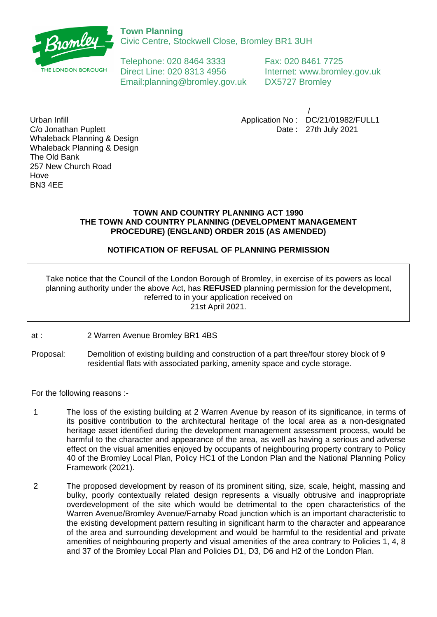

Civic Centre, Stockwell Close, Bromley BR1 3UH

Telephone: 020 8464 3333 Fax: 020 8461 7725 Direct Line: 020 8313 4956 Internet: www.bromley.gov.uk Email:planning@bromley.gov.uk DX5727 Bromley

 / Application No : DC/21/01982/FULL1 Date : 27th July 2021

Urban Infill C/o Jonathan Puplett Whaleback Planning & Design Whaleback Planning & Design The Old Bank 257 New Church Road Hove BN3 4EE

## **TOWN AND COUNTRY PLANNING ACT 1990 THE TOWN AND COUNTRY PLANNING (DEVELOPMENT MANAGEMENT PROCEDURE) (ENGLAND) ORDER 2015 (AS AMENDED)**

# **NOTIFICATION OF REFUSAL OF PLANNING PERMISSION**

Take notice that the Council of the London Borough of Bromley, in exercise of its powers as local planning authority under the above Act, has **REFUSED** planning permission for the development, referred to in your application received on 21st April 2021.

at : 2 Warren Avenue Bromley BR1 4BS

Proposal: Demolition of existing building and construction of a part three/four storey block of 9 residential flats with associated parking, amenity space and cycle storage.

For the following reasons :-

- 1 The loss of the existing building at 2 Warren Avenue by reason of its significance, in terms of its positive contribution to the architectural heritage of the local area as a non-designated heritage asset identified during the development management assessment process, would be harmful to the character and appearance of the area, as well as having a serious and adverse effect on the visual amenities enjoyed by occupants of neighbouring property contrary to Policy 40 of the Bromley Local Plan, Policy HC1 of the London Plan and the National Planning Policy Framework (2021).
- 2 The proposed development by reason of its prominent siting, size, scale, height, massing and bulky, poorly contextually related design represents a visually obtrusive and inappropriate overdevelopment of the site which would be detrimental to the open characteristics of the Warren Avenue/Bromley Avenue/Farnaby Road junction which is an important characteristic to the existing development pattern resulting in significant harm to the character and appearance of the area and surrounding development and would be harmful to the residential and private amenities of neighbouring property and visual amenities of the area contrary to Policies 1, 4, 8 and 37 of the Bromley Local Plan and Policies D1, D3, D6 and H2 of the London Plan.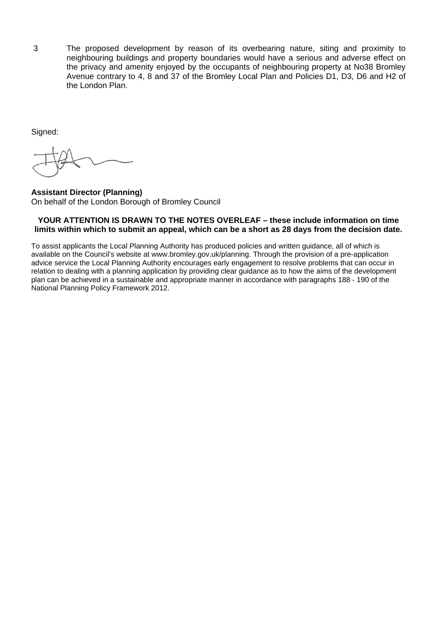3 The proposed development by reason of its overbearing nature, siting and proximity to neighbouring buildings and property boundaries would have a serious and adverse effect on the privacy and amenity enjoyed by the occupants of neighbouring property at No38 Bromley Avenue contrary to 4, 8 and 37 of the Bromley Local Plan and Policies D1, D3, D6 and H2 of the London Plan.

Signed:

**Assistant Director (Planning)** On behalf of the London Borough of Bromley Council

### **YOUR ATTENTION IS DRAWN TO THE NOTES OVERLEAF – these include information on time limits within which to submit an appeal, which can be a short as 28 days from the decision date.**

To assist applicants the Local Planning Authority has produced policies and written guidance, all of which is available on the Council's website at www.bromley.gov.uk/planning. Through the provision of a pre-application advice service the Local Planning Authority encourages early engagement to resolve problems that can occur in relation to dealing with a planning application by providing clear guidance as to how the aims of the development plan can be achieved in a sustainable and appropriate manner in accordance with paragraphs 188 - 190 of the National Planning Policy Framework 2012.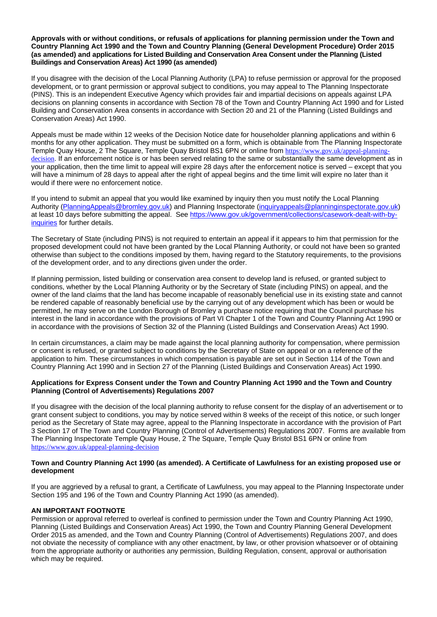#### **Approvals with or without conditions, or refusals of applications for planning permission under the Town and Country Planning Act 1990 and the Town and Country Planning (General Development Procedure) Order 2015 (as amended) and applications for Listed Building and Conservation Area Consent under the Planning (Listed Buildings and Conservation Areas) Act 1990 (as amended)**

If you disagree with the decision of the Local Planning Authority (LPA) to refuse permission or approval for the proposed development, or to grant permission or approval subject to conditions, you may appeal to The Planning Inspectorate (PINS). This is an independent Executive Agency which provides fair and impartial decisions on appeals against LPA decisions on planning consents in accordance with Section 78 of the Town and Country Planning Act 1990 and for Listed Building and Conservation Area consents in accordance with Section 20 and 21 of the Planning (Listed Buildings and Conservation Areas) Act 1990.

Appeals must be made within 12 weeks of the Decision Notice date for householder planning applications and within 6 months for any other application. They must be submitted on a form, which is obtainable from The Planning Inspectorate Temple Quay House, 2 The Square, Temple Quay Bristol BS1 6PN or online from [https://www.gov.uk/appeal-planning](https://www.gov.uk/appeal-planning-decision)[decision](https://www.gov.uk/appeal-planning-decision). If an enforcement notice is or has been served relating to the same or substantially the same development as in your application, then the time limit to appeal will expire 28 days after the enforcement notice is served – except that you will have a minimum of 28 days to appeal after the right of appeal begins and the time limit will expire no later than it would if there were no enforcement notice.

If you intend to submit an appeal that you would like examined by inquiry then you must notify the Local Planning Authority ([PlanningAppeals@bromley.gov.uk](mailto:PlanningAppeals@bromley.gov.uk)) and Planning Inspectorate [\(inquiryappeals@planninginspectorate.gov.uk](mailto:inquiryappeals@planninginspectorate.gov.uk)) at least 10 days before submitting the appeal. See [https://www.gov.uk/government/collections/casework-dealt-with-by](https://www.gov.uk/government/collections/casework-dealt-with-by-inquiries)[inquiries](https://www.gov.uk/government/collections/casework-dealt-with-by-inquiries) for further details.

The Secretary of State (including PINS) is not required to entertain an appeal if it appears to him that permission for the proposed development could not have been granted by the Local Planning Authority, or could not have been so granted otherwise than subject to the conditions imposed by them, having regard to the Statutory requirements, to the provisions of the development order, and to any directions given under the order.

If planning permission, listed building or conservation area consent to develop land is refused, or granted subject to conditions, whether by the Local Planning Authority or by the Secretary of State (including PINS) on appeal, and the owner of the land claims that the land has become incapable of reasonably beneficial use in its existing state and cannot be rendered capable of reasonably beneficial use by the carrying out of any development which has been or would be permitted, he may serve on the London Borough of Bromley a purchase notice requiring that the Council purchase his interest in the land in accordance with the provisions of Part VI Chapter 1 of the Town and Country Planning Act 1990 or in accordance with the provisions of Section 32 of the Planning (Listed Buildings and Conservation Areas) Act 1990.

In certain circumstances, a claim may be made against the local planning authority for compensation, where permission or consent is refused, or granted subject to conditions by the Secretary of State on appeal or on a reference of the application to him. These circumstances in which compensation is payable are set out in Section 114 of the Town and Country Planning Act 1990 and in Section 27 of the Planning (Listed Buildings and Conservation Areas) Act 1990.

#### **Applications for Express Consent under the Town and Country Planning Act 1990 and the Town and Country Planning (Control of Advertisements) Regulations 2007**

If you disagree with the decision of the local planning authority to refuse consent for the display of an advertisement or to grant consent subject to conditions, you may by notice served within 8 weeks of the receipt of this notice, or such longer period as the Secretary of State may agree, appeal to the Planning Inspectorate in accordance with the provision of Part 3 Section 17 of The Town and Country Planning (Control of Advertisements) Regulations 2007. Forms are available from The Planning Inspectorate Temple Quay House, 2 The Square, Temple Quay Bristol BS1 6PN or online from <https://www.gov.uk/appeal-planning-decision>

#### **Town and Country Planning Act 1990 (as amended). A Certificate of Lawfulness for an existing proposed use or development**

If you are aggrieved by a refusal to grant, a Certificate of Lawfulness, you may appeal to the Planning Inspectorate under Section 195 and 196 of the Town and Country Planning Act 1990 (as amended).

#### **AN IMPORTANT FOOTNOTE**

Permission or approval referred to overleaf is confined to permission under the Town and Country Planning Act 1990, Planning (Listed Buildings and Conservation Areas) Act 1990, the Town and Country Planning General Development Order 2015 as amended, and the Town and Country Planning (Control of Advertisements) Regulations 2007, and does not obviate the necessity of compliance with any other enactment, by law, or other provision whatsoever or of obtaining from the appropriate authority or authorities any permission, Building Regulation, consent, approval or authorisation which may be required.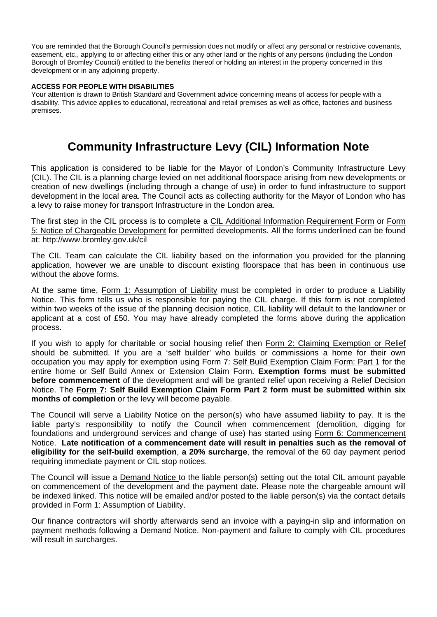You are reminded that the Borough Council's permission does not modify or affect any personal or restrictive covenants, easement, etc., applying to or affecting either this or any other land or the rights of any persons (including the London Borough of Bromley Council) entitled to the benefits thereof or holding an interest in the property concerned in this development or in any adjoining property.

#### **ACCESS FOR PEOPLE WITH DISABILITIES**

Your attention is drawn to British Standard and Government advice concerning means of access for people with a disability. This advice applies to educational, recreational and retail premises as well as office, factories and business premises.

# **Community Infrastructure Levy (CIL) Information Note**

This application is considered to be liable for the Mayor of London's Community Infrastructure Levy (CIL). The CIL is a planning charge levied on net additional floorspace arising from new developments or creation of new dwellings (including through a change of use) in order to fund infrastructure to support development in the local area. The Council acts as collecting authority for the Mayor of London who has a levy to raise money for transport Infrastructure in the London area.

The first step in the CIL process is to complete a CIL Additional Information Requirement Form or Form 5: Notice of Chargeable Development for permitted developments. All the forms underlined can be found at: http://www.bromley.gov.uk/cil

The CIL Team can calculate the CIL liability based on the information you provided for the planning application, however we are unable to discount existing floorspace that has been in continuous use without the above forms.

At the same time, Form 1: Assumption of Liability must be completed in order to produce a Liability Notice. This form tells us who is responsible for paying the CIL charge. If this form is not completed within two weeks of the issue of the planning decision notice, CIL liability will default to the landowner or applicant at a cost of £50. You may have already completed the forms above during the application process.

If you wish to apply for charitable or social housing relief then Form 2: Claiming Exemption or Relief should be submitted. If you are a 'self builder' who builds or commissions a home for their own occupation you may apply for exemption using Form 7: Self Build Exemption Claim Form: Part 1 for the entire home or Self Build Annex or Extension Claim Form. **Exemption forms must be submitted before commencement** of the development and will be granted relief upon receiving a Relief Decision Notice. The **Form 7: Self Build Exemption Claim Form Part 2 form must be submitted within six months of completion** or the levy will become payable.

The Council will serve a Liability Notice on the person(s) who have assumed liability to pay. It is the liable party's responsibility to notify the Council when commencement (demolition, digging for foundations and underground services and change of use) has started using Form 6: Commencement Notice. **Late notification of a commencement date will result in penalties such as the removal of eligibility for the self-build exemption**, **a 20% surcharge**, the removal of the 60 day payment period requiring immediate payment or CIL stop notices.

The Council will issue a Demand Notice to the liable person(s) setting out the total CIL amount payable on commencement of the development and the payment date. Please note the chargeable amount will be indexed linked. This notice will be emailed and/or posted to the liable person(s) via the contact details provided in Form 1: Assumption of Liability.

Our finance contractors will shortly afterwards send an invoice with a paying-in slip and information on payment methods following a Demand Notice. Non-payment and failure to comply with CIL procedures will result in surcharges.